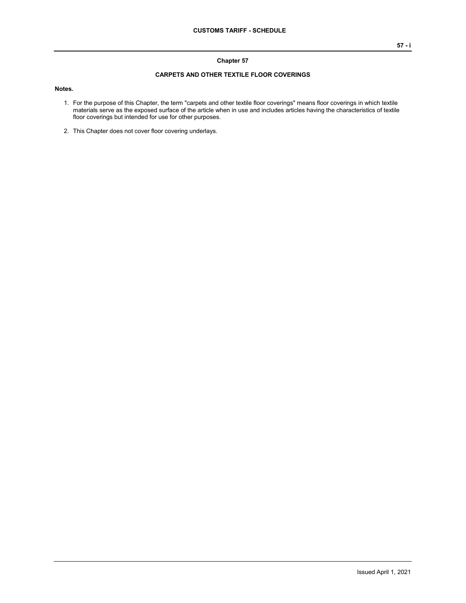## **Chapter 57**

## **CARPETS AND OTHER TEXTILE FLOOR COVERINGS**

## **Notes.**

- 1. For the purpose of this Chapter, the term "carpets and other textile floor coverings" means floor coverings in which textile materials serve as the exposed surface of the article when in use and includes articles having the characteristics of textile floor coverings but intended for use for other purposes.
- 2. This Chapter does not cover floor covering underlays.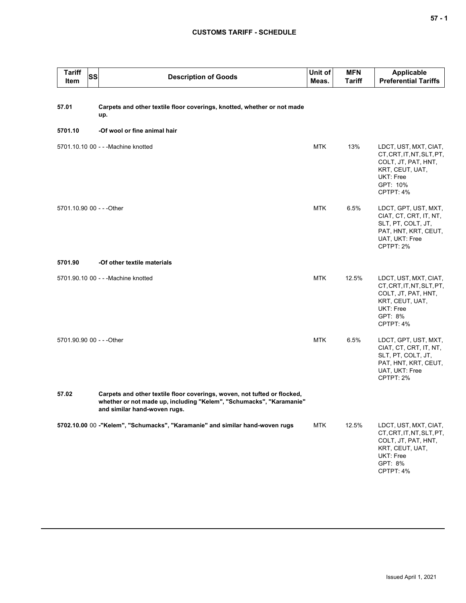## **CUSTOMS TARIFF - SCHEDULE**

| <b>Tariff</b><br>Item     | SS | <b>Description of Goods</b>                                                                                                                                                     | Unit of<br>Meas. | <b>MFN</b><br>Tariff | <b>Applicable</b><br><b>Preferential Tariffs</b>                                                                                   |
|---------------------------|----|---------------------------------------------------------------------------------------------------------------------------------------------------------------------------------|------------------|----------------------|------------------------------------------------------------------------------------------------------------------------------------|
| 57.01                     |    | Carpets and other textile floor coverings, knotted, whether or not made<br>up.                                                                                                  |                  |                      |                                                                                                                                    |
| 5701.10                   |    | -Of wool or fine animal hair                                                                                                                                                    |                  |                      |                                                                                                                                    |
|                           |    | 5701.10.10 00 - - - Machine knotted                                                                                                                                             | <b>MTK</b>       | 13%                  | LDCT, UST, MXT, CIAT,<br>CT, CRT, IT, NT, SLT, PT,<br>COLT, JT, PAT, HNT,<br>KRT, CEUT, UAT,<br>UKT: Free<br>GPT: 10%<br>CPTPT: 4% |
| 5701.10.90 00 - - - Other |    |                                                                                                                                                                                 | <b>MTK</b>       | 6.5%                 | LDCT, GPT, UST, MXT,<br>CIAT, CT, CRT, IT, NT,<br>SLT, PT, COLT, JT,<br>PAT, HNT, KRT, CEUT,<br>UAT, UKT: Free<br>CPTPT: 2%        |
| 5701.90                   |    | -Of other textile materials                                                                                                                                                     |                  |                      |                                                                                                                                    |
|                           |    | 5701.90.10 00 - - - Machine knotted                                                                                                                                             | <b>MTK</b>       | 12.5%                | LDCT, UST, MXT, CIAT,<br>CT, CRT, IT, NT, SLT, PT,<br>COLT, JT, PAT, HNT,<br>KRT, CEUT, UAT,<br>UKT: Free<br>GPT: 8%<br>CPTPT: 4%  |
| 5701.90.90 00 - - - Other |    |                                                                                                                                                                                 | <b>MTK</b>       | 6.5%                 | LDCT, GPT, UST, MXT,<br>CIAT, CT, CRT, IT, NT,<br>SLT, PT, COLT, JT,<br>PAT, HNT, KRT, CEUT,<br>UAT, UKT: Free<br>CPTPT: 2%        |
| 57.02                     |    | Carpets and other textile floor coverings, woven, not tufted or flocked,<br>whether or not made up, including "Kelem", "Schumacks", "Karamanie"<br>and similar hand-woven rugs. |                  |                      |                                                                                                                                    |
|                           |    | 5702.10.00 00 -"Kelem", "Schumacks", "Karamanie" and similar hand-woven rugs                                                                                                    | <b>MTK</b>       | 12.5%                | LDCT, UST, MXT, CIAT,<br>CT, CRT, IT, NT, SLT, PT,<br>COLT, JT, PAT, HNT,<br>KRT, CEUT, UAT,<br>UKT: Free<br>GPT: 8%<br>CPTPT: 4%  |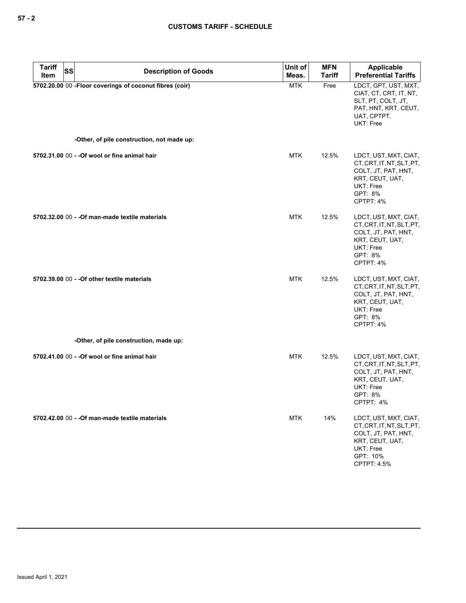| <b>Tariff</b><br>Item | SS | <b>Description of Goods</b>                             | Unit of<br>Meas. | <b>MFN</b><br><b>Tariff</b> | Applicable<br><b>Preferential Tariffs</b>                                                                                            |
|-----------------------|----|---------------------------------------------------------|------------------|-----------------------------|--------------------------------------------------------------------------------------------------------------------------------------|
|                       |    | 5702.20.00 00 -Floor coverings of coconut fibres (coir) | <b>MTK</b>       | Free                        | LDCT, GPT, UST, MXT,<br>CIAT, CT, CRT, IT, NT,<br>SLT, PT, COLT, JT,<br>PAT, HNT, KRT, CEUT,<br>UAT, CPTPT,<br>UKT: Free             |
|                       |    | -Other, of pile construction, not made up:              |                  |                             |                                                                                                                                      |
|                       |    | 5702.31.00 00 - - Of wool or fine animal hair           | MTK              | 12.5%                       | LDCT, UST, MXT, CIAT,<br>CT, CRT, IT, NT, SLT, PT,<br>COLT, JT, PAT, HNT,<br>KRT, CEUT, UAT,<br>UKT: Free<br>GPT: 8%<br>CPTPT: 4%    |
|                       |    | 5702.32.00 00 - - Of man-made textile materials         | MTK              | 12.5%                       | LDCT, UST, MXT, CIAT,<br>CT, CRT, IT, NT, SLT, PT,<br>COLT, JT, PAT, HNT,<br>KRT, CEUT, UAT,<br>UKT: Free<br>GPT: 8%<br>CPTPT: 4%    |
|                       |    | 5702.39.00 00 - - Of other textile materials            | <b>MTK</b>       | 12.5%                       | LDCT, UST, MXT, CIAT,<br>CT, CRT, IT, NT, SLT, PT,<br>COLT, JT, PAT, HNT,<br>KRT, CEUT, UAT,<br>UKT: Free<br>GPT: 8%<br>CPTPT: 4%    |
|                       |    | -Other, of pile construction, made up:                  |                  |                             |                                                                                                                                      |
|                       |    | 5702.41.00 00 - - Of wool or fine animal hair           | MTK              | 12.5%                       | LDCT, UST, MXT, CIAT,<br>CT, CRT, IT, NT, SLT, PT,<br>COLT, JT, PAT, HNT,<br>KRT, CEUT, UAT,<br>UKT: Free<br>GPT: 8%<br>CPTPT: 4%    |
|                       |    | 5702.42.00 00 - - Of man-made textile materials         | <b>MTK</b>       | 14%                         | LDCT, UST, MXT, CIAT,<br>CT, CRT, IT, NT, SLT, PT,<br>COLT, JT, PAT, HNT,<br>KRT, CEUT, UAT,<br>UKT: Free<br>GPT: 10%<br>CPTPT: 4.5% |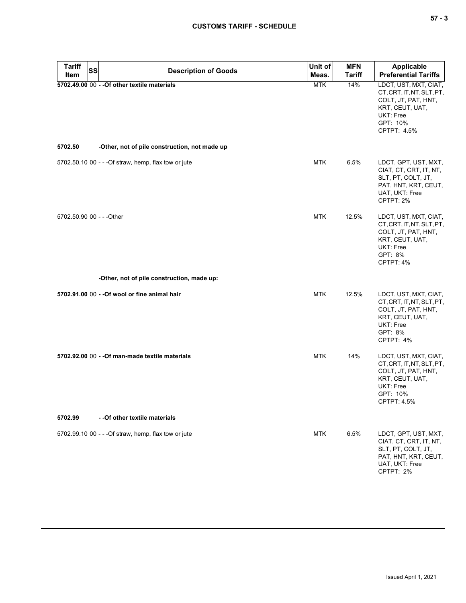| <b>Tariff</b><br><b>SS</b><br>Item | <b>Description of Goods</b>                          | Unit of<br>Meas. | <b>MFN</b><br><b>Tariff</b> | <b>Applicable</b><br><b>Preferential Tariffs</b>                                                                                     |
|------------------------------------|------------------------------------------------------|------------------|-----------------------------|--------------------------------------------------------------------------------------------------------------------------------------|
|                                    | 5702.49.00 00 - - Of other textile materials         | <b>MTK</b>       | 14%                         | LDCT, UST, MXT, CIAT,<br>CT, CRT, IT, NT, SLT, PT,<br>COLT, JT, PAT, HNT,<br>KRT, CEUT, UAT,<br>UKT: Free<br>GPT: 10%<br>CPTPT: 4.5% |
| 5702.50                            | -Other, not of pile construction, not made up        |                  |                             |                                                                                                                                      |
|                                    | 5702.50.10 00 - - - Of straw, hemp, flax tow or jute | <b>MTK</b>       | 6.5%                        | LDCT, GPT, UST, MXT,<br>CIAT, CT, CRT, IT, NT,<br>SLT, PT, COLT, JT,<br>PAT, HNT, KRT, CEUT,<br>UAT, UKT: Free<br>CPTPT: 2%          |
| 5702.50.90 00 - - - Other          |                                                      | <b>MTK</b>       | 12.5%                       | LDCT, UST, MXT, CIAT,<br>CT, CRT, IT, NT, SLT, PT,<br>COLT, JT, PAT, HNT,<br>KRT, CEUT, UAT,<br>UKT: Free<br>GPT: 8%<br>CPTPT: 4%    |
|                                    | -Other, not of pile construction, made up:           |                  |                             |                                                                                                                                      |
|                                    | 5702.91.00 00 - - Of wool or fine animal hair        | <b>MTK</b>       | 12.5%                       | LDCT, UST, MXT, CIAT,<br>CT, CRT, IT, NT, SLT, PT,<br>COLT, JT, PAT, HNT,<br>KRT, CEUT, UAT,<br>UKT: Free<br>GPT: 8%<br>CPTPT: 4%    |
|                                    | 5702.92.00 00 - - Of man-made textile materials      | <b>MTK</b>       | 14%                         | LDCT, UST, MXT, CIAT,<br>CT, CRT, IT, NT, SLT, PT,<br>COLT, JT, PAT, HNT,<br>KRT, CEUT, UAT,<br>UKT: Free<br>GPT: 10%<br>CPTPT: 4.5% |
| 5702.99                            | - - Of other textile materials                       |                  |                             |                                                                                                                                      |
|                                    | 5702.99.10 00 - - - Of straw, hemp, flax tow or jute | <b>MTK</b>       | 6.5%                        | LDCT, GPT, UST, MXT,<br>CIAT, CT, CRT, IT, NT,<br>SLT, PT, COLT, JT,<br>PAT, HNT, KRT, CEUT,<br>UAT, UKT: Free<br>CPTPT: 2%          |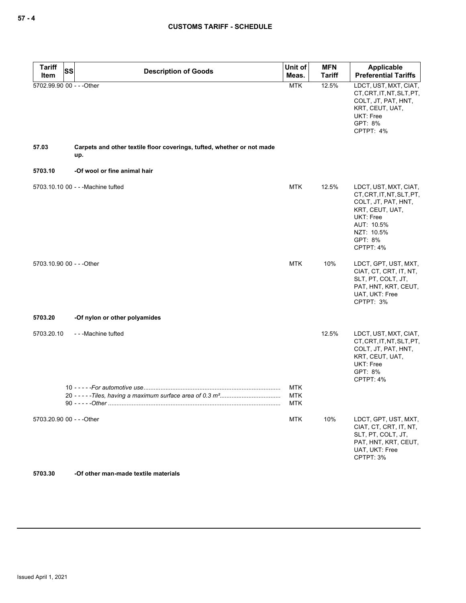| Tariff<br><b>SS</b><br>Item | <b>Description of Goods</b>                                                   | Unit of<br>Meas.                       | <b>MFN</b><br><b>Tariff</b> | Applicable<br><b>Preferential Tariffs</b>                                                                                                                     |
|-----------------------------|-------------------------------------------------------------------------------|----------------------------------------|-----------------------------|---------------------------------------------------------------------------------------------------------------------------------------------------------------|
| 5702.99.90 00 - - - Other   |                                                                               | <b>MTK</b>                             | 12.5%                       | LDCT, UST, MXT, CIAT,<br>CT, CRT, IT, NT, SLT, PT,<br>COLT, JT, PAT, HNT,<br>KRT, CEUT, UAT,<br>UKT: Free<br>GPT: 8%<br>CPTPT: 4%                             |
| 57.03                       | Carpets and other textile floor coverings, tufted, whether or not made<br>up. |                                        |                             |                                                                                                                                                               |
| 5703.10                     | -Of wool or fine animal hair                                                  |                                        |                             |                                                                                                                                                               |
|                             | 5703.10.10 00 - - - Machine tufted                                            | <b>MTK</b>                             | 12.5%                       | LDCT, UST, MXT, CIAT,<br>CT, CRT, IT, NT, SLT, PT,<br>COLT, JT, PAT, HNT,<br>KRT, CEUT, UAT,<br>UKT: Free<br>AUT: 10.5%<br>NZT: 10.5%<br>GPT: 8%<br>CPTPT: 4% |
| 5703.10.90 00 - - - Other   |                                                                               | <b>MTK</b>                             | 10%                         | LDCT, GPT, UST, MXT,<br>CIAT, CT, CRT, IT, NT,<br>SLT, PT, COLT, JT,<br>PAT, HNT, KRT, CEUT,<br>UAT, UKT: Free<br>CPTPT: 3%                                   |
| 5703.20                     | -Of nylon or other polyamides                                                 |                                        |                             |                                                                                                                                                               |
| 5703.20.10                  | ---Machine tufted                                                             |                                        | 12.5%                       | LDCT, UST, MXT, CIAT,<br>CT, CRT, IT, NT, SLT, PT,<br>COLT, JT, PAT, HNT,<br>KRT, CEUT, UAT,<br>UKT: Free<br>GPT: 8%<br>CPTPT: 4%                             |
|                             | 90 - - - - - - Other                                                          | <b>MTK</b><br><b>MTK</b><br><b>MTK</b> |                             |                                                                                                                                                               |
| 5703.20.90 00 - - - Other   |                                                                               | <b>MTK</b>                             | 10%                         | LDCT, GPT, UST, MXT,<br>CIAT, CT, CRT, IT, NT,<br>SLT, PT, COLT, JT,<br>PAT, HNT, KRT, CEUT,<br>UAT, UKT: Free<br>CPTPT: 3%                                   |
| 5703.30                     | -Of other man-made textile materials                                          |                                        |                             |                                                                                                                                                               |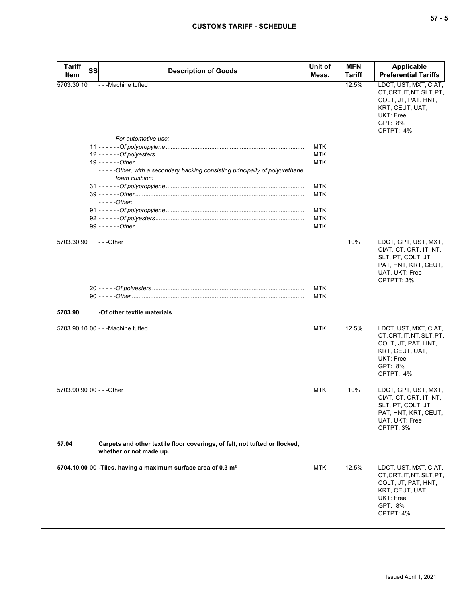| <b>Tariff</b>             | SS | <b>Description of Goods</b>                                                 | Unit of                  | <b>MFN</b> | <b>Applicable</b>                                                                                                                 |
|---------------------------|----|-----------------------------------------------------------------------------|--------------------------|------------|-----------------------------------------------------------------------------------------------------------------------------------|
| Item                      |    |                                                                             | Meas.                    | Tariff     | <b>Preferential Tariffs</b>                                                                                                       |
| 5703.30.10                |    | - - - Machine tufted                                                        |                          | 12.5%      | LDCT, UST, MXT, CIAT,<br>CT, CRT, IT, NT, SLT, PT,<br>COLT, JT, PAT, HNT,<br>KRT, CEUT, UAT,<br>UKT: Free<br>GPT: 8%<br>CPTPT: 4% |
|                           |    | -----For automotive use:                                                    |                          |            |                                                                                                                                   |
|                           |    |                                                                             | <b>MTK</b>               |            |                                                                                                                                   |
|                           |    |                                                                             | <b>MTK</b><br><b>MTK</b> |            |                                                                                                                                   |
|                           |    | -----Other, with a secondary backing consisting principally of polyurethane |                          |            |                                                                                                                                   |
|                           |    | foam cushion:                                                               |                          |            |                                                                                                                                   |
|                           |    |                                                                             | <b>MTK</b>               |            |                                                                                                                                   |
|                           |    |                                                                             | MTK                      |            |                                                                                                                                   |
|                           |    | $---Other:$                                                                 |                          |            |                                                                                                                                   |
|                           |    |                                                                             | MTK                      |            |                                                                                                                                   |
|                           |    |                                                                             | <b>MTK</b>               |            |                                                                                                                                   |
|                           |    |                                                                             | <b>MTK</b>               |            |                                                                                                                                   |
|                           |    |                                                                             |                          |            |                                                                                                                                   |
| 5703.30.90                |    | $-$ - -Other                                                                |                          | 10%        | LDCT, GPT, UST, MXT,<br>CIAT, CT, CRT, IT, NT,<br>SLT, PT, COLT, JT,<br>PAT, HNT, KRT, CEUT,<br>UAT, UKT: Free<br>CPTPTT: 3%      |
|                           |    |                                                                             | <b>MTK</b>               |            |                                                                                                                                   |
|                           |    |                                                                             | MTK                      |            |                                                                                                                                   |
|                           |    |                                                                             |                          |            |                                                                                                                                   |
| 5703.90                   |    | -Of other textile materials                                                 |                          |            |                                                                                                                                   |
|                           |    |                                                                             |                          |            |                                                                                                                                   |
|                           |    | 5703.90.10 00 - - - Machine tufted                                          | <b>MTK</b>               | 12.5%      | LDCT, UST, MXT, CIAT,<br>CT, CRT, IT, NT, SLT, PT,<br>COLT, JT, PAT, HNT,<br>KRT, CEUT, UAT,<br>UKT: Free<br>GPT: 8%<br>CPTPT: 4% |
|                           |    |                                                                             |                          |            |                                                                                                                                   |
| 5703.90.90 00 - - - Other |    |                                                                             | <b>MTK</b>               | 10%        | LDCT, GPT, UST, MXT,<br>CIAT, CT, CRT, IT, NT,<br>SLT, PT, COLT, JT,<br>PAT, HNT, KRT, CEUT,<br>UAT, UKT: Free<br>CPTPT: 3%       |
| 57.04                     |    | Carpets and other textile floor coverings, of felt, not tufted or flocked,  |                          |            |                                                                                                                                   |
|                           |    | whether or not made up.                                                     |                          |            |                                                                                                                                   |
|                           |    | 5704.10.00 00 - Tiles, having a maximum surface area of 0.3 m <sup>2</sup>  | <b>MTK</b>               | 12.5%      | LDCT, UST, MXT, CIAT,<br>CT, CRT, IT, NT, SLT, PT,<br>COLT, JT, PAT, HNT,<br>KRT, CEUT, UAT,<br>UKT: Free<br>GPT: 8%<br>CPTPT: 4% |